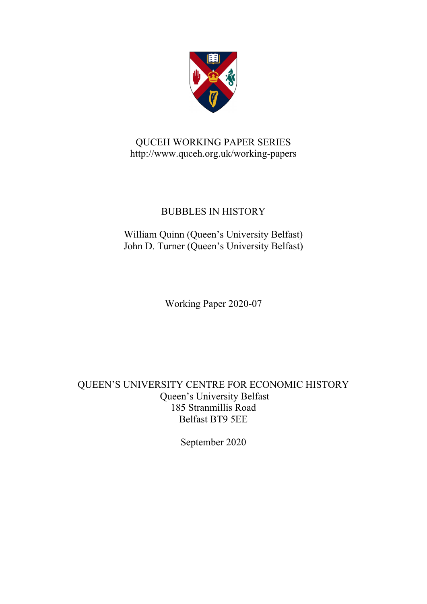

## QUCEH WORKING PAPER SERIES http://www.quceh.org.uk/working-papers

## BUBBLES IN HISTORY

William Quinn (Queen's University Belfast) John D. Turner (Queen's University Belfast)

Working Paper 2020-07

QUEEN'S UNIVERSITY CENTRE FOR ECONOMIC HISTORY Queen's University Belfast 185 Stranmillis Road Belfast BT9 5EE

September 2020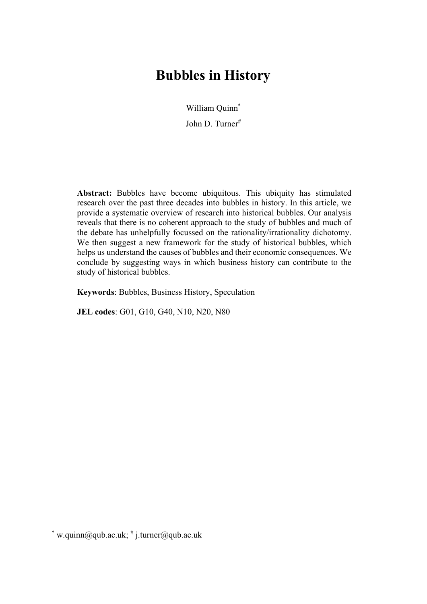# **Bubbles in History**

William Quinn\*

John D. Turner#

**Abstract:** Bubbles have become ubiquitous. This ubiquity has stimulated research over the past three decades into bubbles in history. In this article, we provide a systematic overview of research into historical bubbles. Our analysis reveals that there is no coherent approach to the study of bubbles and much of the debate has unhelpfully focussed on the rationality/irrationality dichotomy. We then suggest a new framework for the study of historical bubbles, which helps us understand the causes of bubbles and their economic consequences. We conclude by suggesting ways in which business history can contribute to the study of historical bubbles.

**Keywords**: Bubbles, Business History, Speculation

**JEL codes**: G01, G10, G40, N10, N20, N80

 $*$  w.quinn@qub.ac.uk;  $*$  j.turner@qub.ac.uk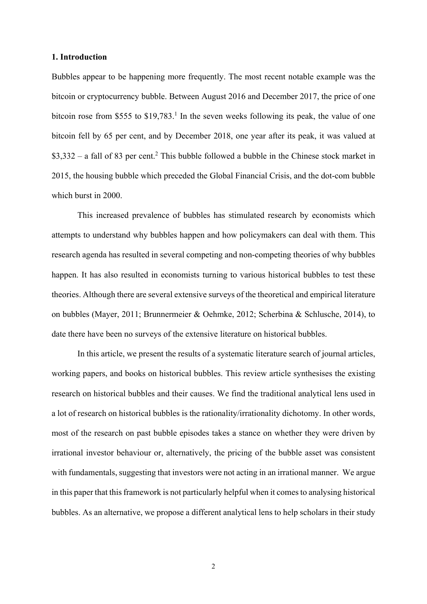#### **1. Introduction**

Bubbles appear to be happening more frequently. The most recent notable example was the bitcoin or cryptocurrency bubble. Between August 2016 and December 2017, the price of one bitcoin rose from \$555 to  $$19,783$ <sup>1</sup> In the seven weeks following its peak, the value of one bitcoin fell by 65 per cent, and by December 2018, one year after its peak, it was valued at  $$3,332 - a$  fall of 83 per cent.<sup>2</sup> This bubble followed a bubble in the Chinese stock market in 2015, the housing bubble which preceded the Global Financial Crisis, and the dot-com bubble which burst in 2000.

 This increased prevalence of bubbles has stimulated research by economists which attempts to understand why bubbles happen and how policymakers can deal with them. This research agenda has resulted in several competing and non-competing theories of why bubbles happen. It has also resulted in economists turning to various historical bubbles to test these theories. Although there are several extensive surveys of the theoretical and empirical literature on bubbles (Mayer, 2011; Brunnermeier & Oehmke, 2012; Scherbina & Schlusche, 2014), to date there have been no surveys of the extensive literature on historical bubbles.

 In this article, we present the results of a systematic literature search of journal articles, working papers, and books on historical bubbles. This review article synthesises the existing research on historical bubbles and their causes. We find the traditional analytical lens used in a lot of research on historical bubbles is the rationality/irrationality dichotomy. In other words, most of the research on past bubble episodes takes a stance on whether they were driven by irrational investor behaviour or, alternatively, the pricing of the bubble asset was consistent with fundamentals, suggesting that investors were not acting in an irrational manner. We argue in this paper that this framework is not particularly helpful when it comes to analysing historical bubbles. As an alternative, we propose a different analytical lens to help scholars in their study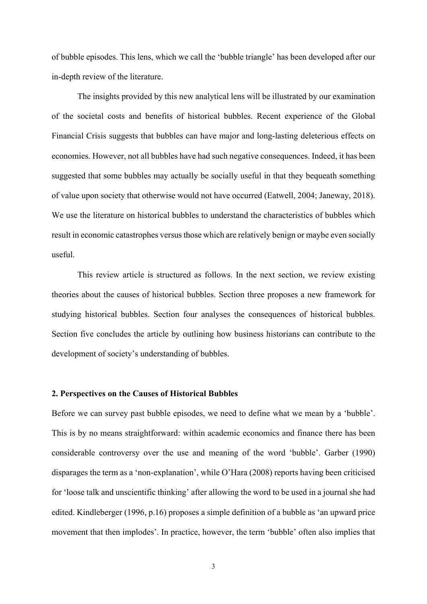of bubble episodes. This lens, which we call the 'bubble triangle' has been developed after our in-depth review of the literature.

 The insights provided by this new analytical lens will be illustrated by our examination of the societal costs and benefits of historical bubbles. Recent experience of the Global Financial Crisis suggests that bubbles can have major and long-lasting deleterious effects on economies. However, not all bubbles have had such negative consequences. Indeed, it has been suggested that some bubbles may actually be socially useful in that they bequeath something of value upon society that otherwise would not have occurred (Eatwell, 2004; Janeway, 2018). We use the literature on historical bubbles to understand the characteristics of bubbles which result in economic catastrophes versus those which are relatively benign or maybe even socially useful.

 This review article is structured as follows. In the next section, we review existing theories about the causes of historical bubbles. Section three proposes a new framework for studying historical bubbles. Section four analyses the consequences of historical bubbles. Section five concludes the article by outlining how business historians can contribute to the development of society's understanding of bubbles.

#### **2. Perspectives on the Causes of Historical Bubbles**

Before we can survey past bubble episodes, we need to define what we mean by a 'bubble'. This is by no means straightforward: within academic economics and finance there has been considerable controversy over the use and meaning of the word 'bubble'. Garber (1990) disparages the term as a 'non-explanation', while O'Hara (2008) reports having been criticised for 'loose talk and unscientific thinking' after allowing the word to be used in a journal she had edited. Kindleberger (1996, p.16) proposes a simple definition of a bubble as 'an upward price movement that then implodes'. In practice, however, the term 'bubble' often also implies that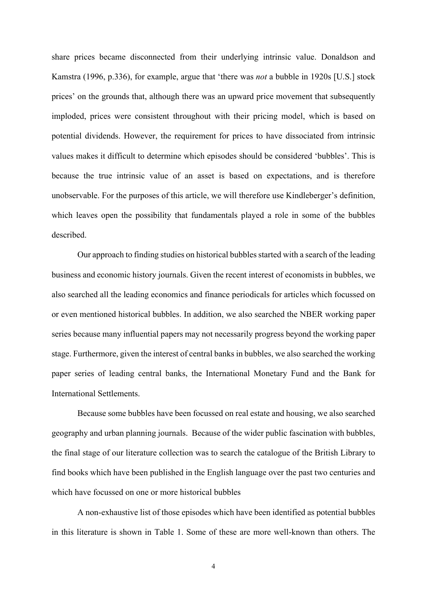share prices became disconnected from their underlying intrinsic value. Donaldson and Kamstra (1996, p.336), for example, argue that 'there was *not* a bubble in 1920s [U.S.] stock prices' on the grounds that, although there was an upward price movement that subsequently imploded, prices were consistent throughout with their pricing model, which is based on potential dividends. However, the requirement for prices to have dissociated from intrinsic values makes it difficult to determine which episodes should be considered 'bubbles'. This is because the true intrinsic value of an asset is based on expectations, and is therefore unobservable. For the purposes of this article, we will therefore use Kindleberger's definition, which leaves open the possibility that fundamentals played a role in some of the bubbles described.

 Our approach to finding studies on historical bubbles started with a search of the leading business and economic history journals. Given the recent interest of economists in bubbles, we also searched all the leading economics and finance periodicals for articles which focussed on or even mentioned historical bubbles. In addition, we also searched the NBER working paper series because many influential papers may not necessarily progress beyond the working paper stage. Furthermore, given the interest of central banks in bubbles, we also searched the working paper series of leading central banks, the International Monetary Fund and the Bank for International Settlements.

 Because some bubbles have been focussed on real estate and housing, we also searched geography and urban planning journals. Because of the wider public fascination with bubbles, the final stage of our literature collection was to search the catalogue of the British Library to find books which have been published in the English language over the past two centuries and which have focussed on one or more historical bubbles

 A non-exhaustive list of those episodes which have been identified as potential bubbles in this literature is shown in Table 1. Some of these are more well-known than others. The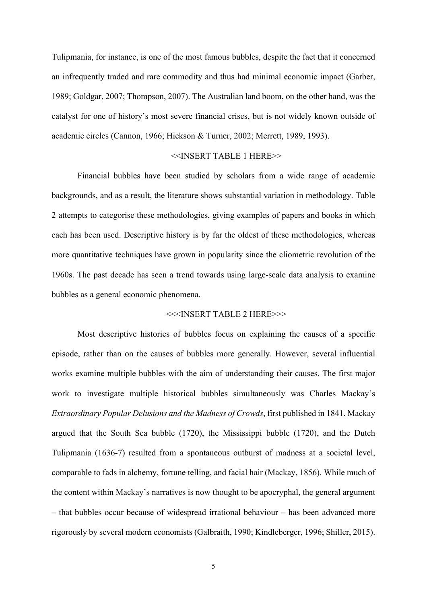Tulipmania, for instance, is one of the most famous bubbles, despite the fact that it concerned an infrequently traded and rare commodity and thus had minimal economic impact (Garber, 1989; Goldgar, 2007; Thompson, 2007). The Australian land boom, on the other hand, was the catalyst for one of history's most severe financial crises, but is not widely known outside of academic circles (Cannon, 1966; Hickson & Turner, 2002; Merrett, 1989, 1993).

#### <<INSERT TABLE 1 HERE>>

Financial bubbles have been studied by scholars from a wide range of academic backgrounds, and as a result, the literature shows substantial variation in methodology. Table 2 attempts to categorise these methodologies, giving examples of papers and books in which each has been used. Descriptive history is by far the oldest of these methodologies, whereas more quantitative techniques have grown in popularity since the cliometric revolution of the 1960s. The past decade has seen a trend towards using large-scale data analysis to examine bubbles as a general economic phenomena.

#### <<<INSERT TABLE 2 HERE>>>

Most descriptive histories of bubbles focus on explaining the causes of a specific episode, rather than on the causes of bubbles more generally. However, several influential works examine multiple bubbles with the aim of understanding their causes. The first major work to investigate multiple historical bubbles simultaneously was Charles Mackay's *Extraordinary Popular Delusions and the Madness of Crowds*, first published in 1841. Mackay argued that the South Sea bubble (1720), the Mississippi bubble (1720), and the Dutch Tulipmania (1636-7) resulted from a spontaneous outburst of madness at a societal level, comparable to fads in alchemy, fortune telling, and facial hair (Mackay, 1856). While much of the content within Mackay's narratives is now thought to be apocryphal, the general argument – that bubbles occur because of widespread irrational behaviour – has been advanced more rigorously by several modern economists (Galbraith, 1990; Kindleberger, 1996; Shiller, 2015).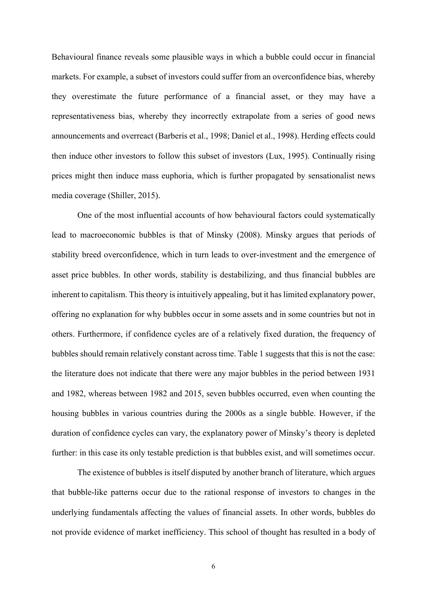Behavioural finance reveals some plausible ways in which a bubble could occur in financial markets. For example, a subset of investors could suffer from an overconfidence bias, whereby they overestimate the future performance of a financial asset, or they may have a representativeness bias, whereby they incorrectly extrapolate from a series of good news announcements and overreact (Barberis et al., 1998; Daniel et al., 1998). Herding effects could then induce other investors to follow this subset of investors (Lux, 1995). Continually rising prices might then induce mass euphoria, which is further propagated by sensationalist news media coverage (Shiller, 2015).

One of the most influential accounts of how behavioural factors could systematically lead to macroeconomic bubbles is that of Minsky (2008). Minsky argues that periods of stability breed overconfidence, which in turn leads to over-investment and the emergence of asset price bubbles. In other words, stability is destabilizing, and thus financial bubbles are inherent to capitalism. This theory is intuitively appealing, but it has limited explanatory power, offering no explanation for why bubbles occur in some assets and in some countries but not in others. Furthermore, if confidence cycles are of a relatively fixed duration, the frequency of bubbles should remain relatively constant across time. Table 1 suggests that this is not the case: the literature does not indicate that there were any major bubbles in the period between 1931 and 1982, whereas between 1982 and 2015, seven bubbles occurred, even when counting the housing bubbles in various countries during the 2000s as a single bubble. However, if the duration of confidence cycles can vary, the explanatory power of Minsky's theory is depleted further: in this case its only testable prediction is that bubbles exist, and will sometimes occur.

 The existence of bubbles is itself disputed by another branch of literature, which argues that bubble-like patterns occur due to the rational response of investors to changes in the underlying fundamentals affecting the values of financial assets. In other words, bubbles do not provide evidence of market inefficiency. This school of thought has resulted in a body of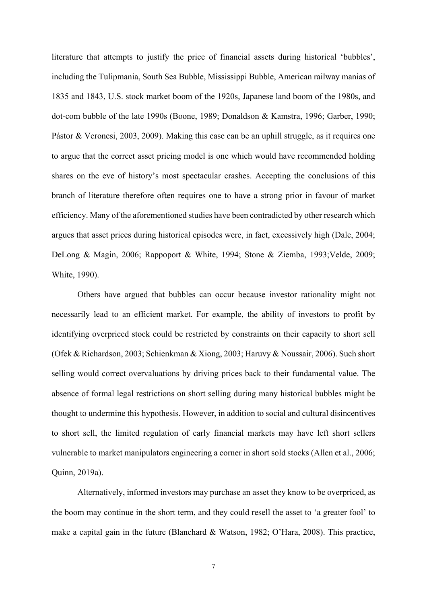literature that attempts to justify the price of financial assets during historical 'bubbles', including the Tulipmania, South Sea Bubble, Mississippi Bubble, American railway manias of 1835 and 1843, U.S. stock market boom of the 1920s, Japanese land boom of the 1980s, and dot-com bubble of the late 1990s (Boone, 1989; Donaldson & Kamstra, 1996; Garber, 1990; Pástor & Veronesi, 2003, 2009). Making this case can be an uphill struggle, as it requires one to argue that the correct asset pricing model is one which would have recommended holding shares on the eve of history's most spectacular crashes. Accepting the conclusions of this branch of literature therefore often requires one to have a strong prior in favour of market efficiency. Many of the aforementioned studies have been contradicted by other research which argues that asset prices during historical episodes were, in fact, excessively high (Dale, 2004; DeLong & Magin, 2006; Rappoport & White, 1994; Stone & Ziemba, 1993;Velde, 2009; White, 1990).

 Others have argued that bubbles can occur because investor rationality might not necessarily lead to an efficient market. For example, the ability of investors to profit by identifying overpriced stock could be restricted by constraints on their capacity to short sell (Ofek & Richardson, 2003; Schienkman & Xiong, 2003; Haruvy & Noussair, 2006). Such short selling would correct overvaluations by driving prices back to their fundamental value. The absence of formal legal restrictions on short selling during many historical bubbles might be thought to undermine this hypothesis. However, in addition to social and cultural disincentives to short sell, the limited regulation of early financial markets may have left short sellers vulnerable to market manipulators engineering a corner in short sold stocks (Allen et al., 2006; Quinn, 2019a).

 Alternatively, informed investors may purchase an asset they know to be overpriced, as the boom may continue in the short term, and they could resell the asset to 'a greater fool' to make a capital gain in the future (Blanchard & Watson, 1982; O'Hara, 2008). This practice,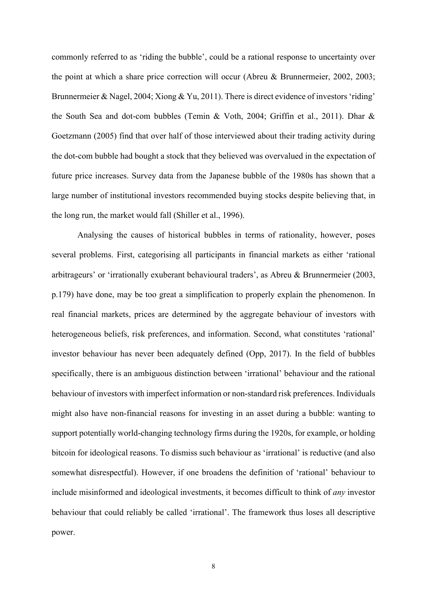commonly referred to as 'riding the bubble', could be a rational response to uncertainty over the point at which a share price correction will occur (Abreu & Brunnermeier, 2002, 2003; Brunnermeier & Nagel, 2004; Xiong & Yu, 2011). There is direct evidence of investors 'riding' the South Sea and dot-com bubbles (Temin & Voth, 2004; Griffin et al., 2011). Dhar & Goetzmann (2005) find that over half of those interviewed about their trading activity during the dot-com bubble had bought a stock that they believed was overvalued in the expectation of future price increases. Survey data from the Japanese bubble of the 1980s has shown that a large number of institutional investors recommended buying stocks despite believing that, in the long run, the market would fall (Shiller et al., 1996).

 Analysing the causes of historical bubbles in terms of rationality, however, poses several problems. First, categorising all participants in financial markets as either 'rational arbitrageurs' or 'irrationally exuberant behavioural traders', as Abreu & Brunnermeier (2003, p.179) have done, may be too great a simplification to properly explain the phenomenon. In real financial markets, prices are determined by the aggregate behaviour of investors with heterogeneous beliefs, risk preferences, and information. Second, what constitutes 'rational' investor behaviour has never been adequately defined (Opp, 2017). In the field of bubbles specifically, there is an ambiguous distinction between 'irrational' behaviour and the rational behaviour of investors with imperfect information or non-standard risk preferences. Individuals might also have non-financial reasons for investing in an asset during a bubble: wanting to support potentially world-changing technology firms during the 1920s, for example, or holding bitcoin for ideological reasons. To dismiss such behaviour as 'irrational' is reductive (and also somewhat disrespectful). However, if one broadens the definition of 'rational' behaviour to include misinformed and ideological investments, it becomes difficult to think of *any* investor behaviour that could reliably be called 'irrational'. The framework thus loses all descriptive power.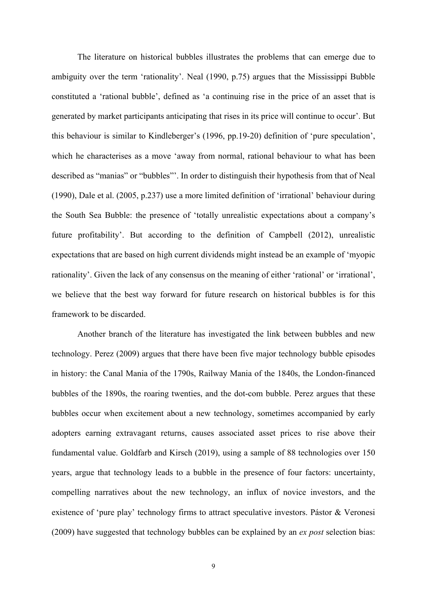The literature on historical bubbles illustrates the problems that can emerge due to ambiguity over the term 'rationality'. Neal (1990, p.75) argues that the Mississippi Bubble constituted a 'rational bubble', defined as 'a continuing rise in the price of an asset that is generated by market participants anticipating that rises in its price will continue to occur'. But this behaviour is similar to Kindleberger's (1996, pp.19-20) definition of 'pure speculation', which he characterises as a move 'away from normal, rational behaviour to what has been described as "manias" or "bubbles"'. In order to distinguish their hypothesis from that of Neal (1990), Dale et al. (2005, p.237) use a more limited definition of 'irrational' behaviour during the South Sea Bubble: the presence of 'totally unrealistic expectations about a company's future profitability'. But according to the definition of Campbell (2012), unrealistic expectations that are based on high current dividends might instead be an example of 'myopic rationality'. Given the lack of any consensus on the meaning of either 'rational' or 'irrational', we believe that the best way forward for future research on historical bubbles is for this framework to be discarded.

 Another branch of the literature has investigated the link between bubbles and new technology. Perez (2009) argues that there have been five major technology bubble episodes in history: the Canal Mania of the 1790s, Railway Mania of the 1840s, the London-financed bubbles of the 1890s, the roaring twenties, and the dot-com bubble. Perez argues that these bubbles occur when excitement about a new technology, sometimes accompanied by early adopters earning extravagant returns, causes associated asset prices to rise above their fundamental value. Goldfarb and Kirsch (2019), using a sample of 88 technologies over 150 years, argue that technology leads to a bubble in the presence of four factors: uncertainty, compelling narratives about the new technology, an influx of novice investors, and the existence of 'pure play' technology firms to attract speculative investors. Pástor & Veronesi (2009) have suggested that technology bubbles can be explained by an *ex post* selection bias: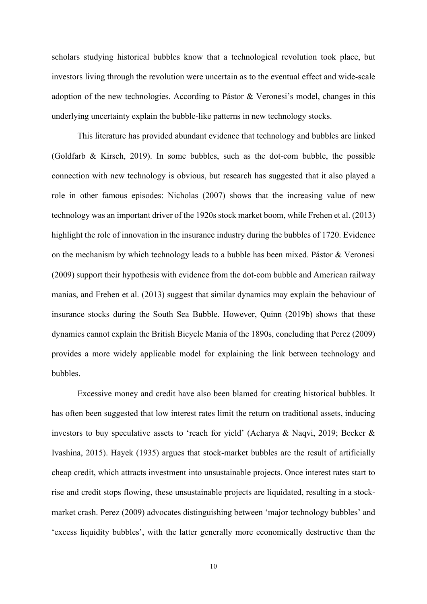scholars studying historical bubbles know that a technological revolution took place, but investors living through the revolution were uncertain as to the eventual effect and wide-scale adoption of the new technologies. According to Pástor & Veronesi's model, changes in this underlying uncertainty explain the bubble-like patterns in new technology stocks.

 This literature has provided abundant evidence that technology and bubbles are linked (Goldfarb & Kirsch, 2019). In some bubbles, such as the dot-com bubble, the possible connection with new technology is obvious, but research has suggested that it also played a role in other famous episodes: Nicholas (2007) shows that the increasing value of new technology was an important driver of the 1920s stock market boom, while Frehen et al. (2013) highlight the role of innovation in the insurance industry during the bubbles of 1720. Evidence on the mechanism by which technology leads to a bubble has been mixed. Pástor & Veronesi (2009) support their hypothesis with evidence from the dot-com bubble and American railway manias, and Frehen et al. (2013) suggest that similar dynamics may explain the behaviour of insurance stocks during the South Sea Bubble. However, Quinn (2019b) shows that these dynamics cannot explain the British Bicycle Mania of the 1890s, concluding that Perez (2009) provides a more widely applicable model for explaining the link between technology and bubbles.

 Excessive money and credit have also been blamed for creating historical bubbles. It has often been suggested that low interest rates limit the return on traditional assets, inducing investors to buy speculative assets to 'reach for yield' (Acharya & Naqvi, 2019; Becker & Ivashina, 2015). Hayek (1935) argues that stock-market bubbles are the result of artificially cheap credit, which attracts investment into unsustainable projects. Once interest rates start to rise and credit stops flowing, these unsustainable projects are liquidated, resulting in a stockmarket crash. Perez (2009) advocates distinguishing between 'major technology bubbles' and 'excess liquidity bubbles', with the latter generally more economically destructive than the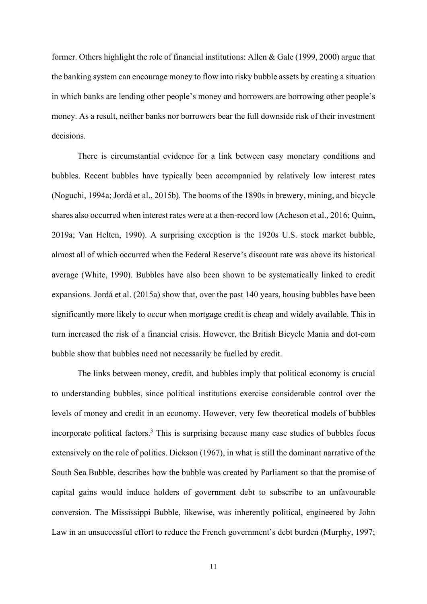former. Others highlight the role of financial institutions: Allen & Gale (1999, 2000) argue that the banking system can encourage money to flow into risky bubble assets by creating a situation in which banks are lending other people's money and borrowers are borrowing other people's money. As a result, neither banks nor borrowers bear the full downside risk of their investment decisions.

 There is circumstantial evidence for a link between easy monetary conditions and bubbles. Recent bubbles have typically been accompanied by relatively low interest rates (Noguchi, 1994a; Jordá et al., 2015b). The booms of the 1890s in brewery, mining, and bicycle shares also occurred when interest rates were at a then-record low (Acheson et al., 2016; Quinn, 2019a; Van Helten, 1990). A surprising exception is the 1920s U.S. stock market bubble, almost all of which occurred when the Federal Reserve's discount rate was above its historical average (White, 1990). Bubbles have also been shown to be systematically linked to credit expansions. Jordá et al. (2015a) show that, over the past 140 years, housing bubbles have been significantly more likely to occur when mortgage credit is cheap and widely available. This in turn increased the risk of a financial crisis. However, the British Bicycle Mania and dot-com bubble show that bubbles need not necessarily be fuelled by credit.

 The links between money, credit, and bubbles imply that political economy is crucial to understanding bubbles, since political institutions exercise considerable control over the levels of money and credit in an economy. However, very few theoretical models of bubbles incorporate political factors.<sup>3</sup> This is surprising because many case studies of bubbles focus extensively on the role of politics. Dickson (1967), in what is still the dominant narrative of the South Sea Bubble, describes how the bubble was created by Parliament so that the promise of capital gains would induce holders of government debt to subscribe to an unfavourable conversion. The Mississippi Bubble, likewise, was inherently political, engineered by John Law in an unsuccessful effort to reduce the French government's debt burden (Murphy, 1997;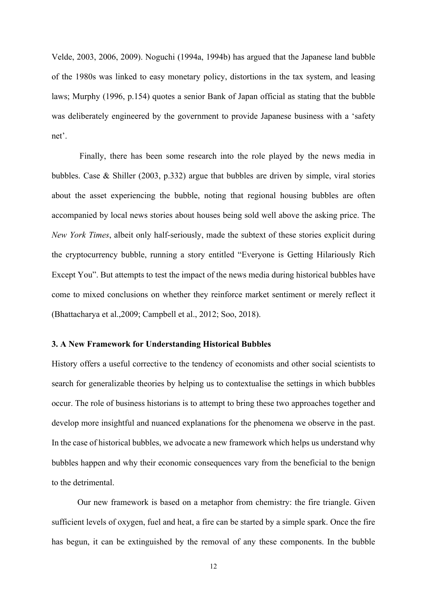Velde, 2003, 2006, 2009). Noguchi (1994a, 1994b) has argued that the Japanese land bubble of the 1980s was linked to easy monetary policy, distortions in the tax system, and leasing laws; Murphy (1996, p.154) quotes a senior Bank of Japan official as stating that the bubble was deliberately engineered by the government to provide Japanese business with a 'safety net'.

 Finally, there has been some research into the role played by the news media in bubbles. Case & Shiller (2003, p.332) argue that bubbles are driven by simple, viral stories about the asset experiencing the bubble, noting that regional housing bubbles are often accompanied by local news stories about houses being sold well above the asking price. The *New York Times*, albeit only half-seriously, made the subtext of these stories explicit during the cryptocurrency bubble, running a story entitled "Everyone is Getting Hilariously Rich Except You". But attempts to test the impact of the news media during historical bubbles have come to mixed conclusions on whether they reinforce market sentiment or merely reflect it (Bhattacharya et al.,2009; Campbell et al., 2012; Soo, 2018).

#### **3. A New Framework for Understanding Historical Bubbles**

History offers a useful corrective to the tendency of economists and other social scientists to search for generalizable theories by helping us to contextualise the settings in which bubbles occur. The role of business historians is to attempt to bring these two approaches together and develop more insightful and nuanced explanations for the phenomena we observe in the past. In the case of historical bubbles, we advocate a new framework which helps us understand why bubbles happen and why their economic consequences vary from the beneficial to the benign to the detrimental.

 Our new framework is based on a metaphor from chemistry: the fire triangle. Given sufficient levels of oxygen, fuel and heat, a fire can be started by a simple spark. Once the fire has begun, it can be extinguished by the removal of any these components. In the bubble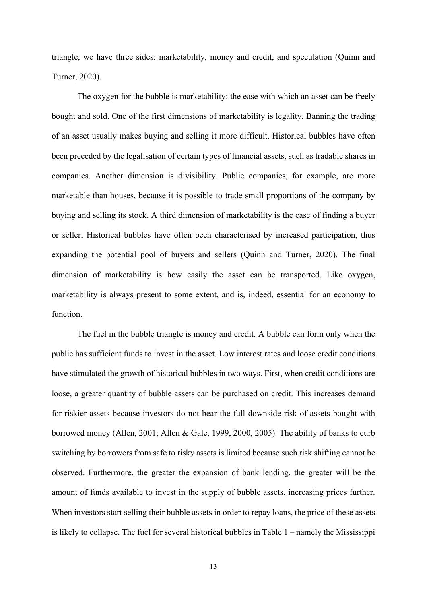triangle, we have three sides: marketability, money and credit, and speculation (Quinn and Turner, 2020).

The oxygen for the bubble is marketability: the ease with which an asset can be freely bought and sold. One of the first dimensions of marketability is legality. Banning the trading of an asset usually makes buying and selling it more difficult. Historical bubbles have often been preceded by the legalisation of certain types of financial assets, such as tradable shares in companies. Another dimension is divisibility. Public companies, for example, are more marketable than houses, because it is possible to trade small proportions of the company by buying and selling its stock. A third dimension of marketability is the ease of finding a buyer or seller. Historical bubbles have often been characterised by increased participation, thus expanding the potential pool of buyers and sellers (Quinn and Turner, 2020). The final dimension of marketability is how easily the asset can be transported. Like oxygen, marketability is always present to some extent, and is, indeed, essential for an economy to function.

 The fuel in the bubble triangle is money and credit. A bubble can form only when the public has sufficient funds to invest in the asset. Low interest rates and loose credit conditions have stimulated the growth of historical bubbles in two ways. First, when credit conditions are loose, a greater quantity of bubble assets can be purchased on credit. This increases demand for riskier assets because investors do not bear the full downside risk of assets bought with borrowed money (Allen, 2001; Allen & Gale, 1999, 2000, 2005). The ability of banks to curb switching by borrowers from safe to risky assets is limited because such risk shifting cannot be observed. Furthermore, the greater the expansion of bank lending, the greater will be the amount of funds available to invest in the supply of bubble assets, increasing prices further. When investors start selling their bubble assets in order to repay loans, the price of these assets is likely to collapse. The fuel for several historical bubbles in Table 1 – namely the Mississippi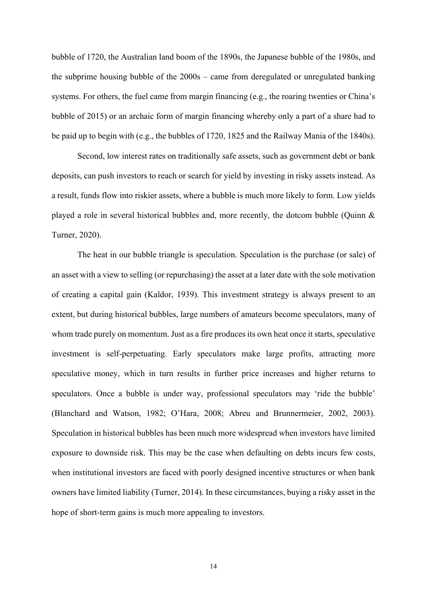bubble of 1720, the Australian land boom of the 1890s, the Japanese bubble of the 1980s, and the subprime housing bubble of the 2000s – came from deregulated or unregulated banking systems. For others, the fuel came from margin financing (e.g., the roaring twenties or China's bubble of 2015) or an archaic form of margin financing whereby only a part of a share had to be paid up to begin with (e.g., the bubbles of 1720, 1825 and the Railway Mania of the 1840s).

Second, low interest rates on traditionally safe assets, such as government debt or bank deposits, can push investors to reach or search for yield by investing in risky assets instead. As a result, funds flow into riskier assets, where a bubble is much more likely to form. Low yields played a role in several historical bubbles and, more recently, the dotcom bubble (Quinn & Turner, 2020).

 The heat in our bubble triangle is speculation. Speculation is the purchase (or sale) of an asset with a view to selling (or repurchasing) the asset at a later date with the sole motivation of creating a capital gain (Kaldor, 1939). This investment strategy is always present to an extent, but during historical bubbles, large numbers of amateurs become speculators, many of whom trade purely on momentum. Just as a fire produces its own heat once it starts, speculative investment is self-perpetuating. Early speculators make large profits, attracting more speculative money, which in turn results in further price increases and higher returns to speculators. Once a bubble is under way, professional speculators may 'ride the bubble' (Blanchard and Watson, 1982; O'Hara, 2008; Abreu and Brunnermeier, 2002, 2003). Speculation in historical bubbles has been much more widespread when investors have limited exposure to downside risk. This may be the case when defaulting on debts incurs few costs, when institutional investors are faced with poorly designed incentive structures or when bank owners have limited liability (Turner, 2014). In these circumstances, buying a risky asset in the hope of short-term gains is much more appealing to investors.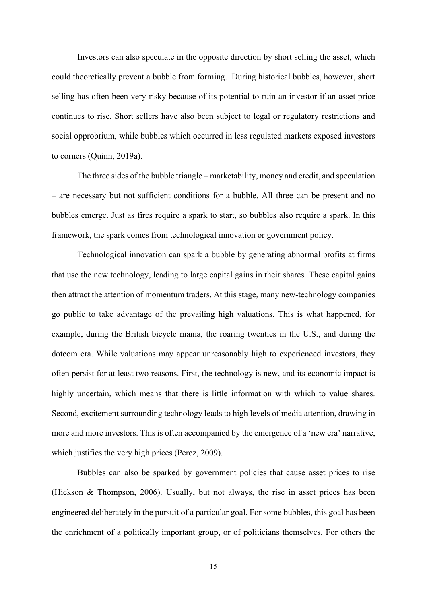Investors can also speculate in the opposite direction by short selling the asset, which could theoretically prevent a bubble from forming. During historical bubbles, however, short selling has often been very risky because of its potential to ruin an investor if an asset price continues to rise. Short sellers have also been subject to legal or regulatory restrictions and social opprobrium, while bubbles which occurred in less regulated markets exposed investors to corners (Quinn, 2019a).

The three sides of the bubble triangle – marketability, money and credit, and speculation – are necessary but not sufficient conditions for a bubble. All three can be present and no bubbles emerge. Just as fires require a spark to start, so bubbles also require a spark. In this framework, the spark comes from technological innovation or government policy.

Technological innovation can spark a bubble by generating abnormal profits at firms that use the new technology, leading to large capital gains in their shares. These capital gains then attract the attention of momentum traders. At this stage, many new-technology companies go public to take advantage of the prevailing high valuations. This is what happened, for example, during the British bicycle mania, the roaring twenties in the U.S., and during the dotcom era. While valuations may appear unreasonably high to experienced investors, they often persist for at least two reasons. First, the technology is new, and its economic impact is highly uncertain, which means that there is little information with which to value shares. Second, excitement surrounding technology leads to high levels of media attention, drawing in more and more investors. This is often accompanied by the emergence of a 'new era' narrative, which justifies the very high prices (Perez, 2009).

Bubbles can also be sparked by government policies that cause asset prices to rise (Hickson & Thompson, 2006). Usually, but not always, the rise in asset prices has been engineered deliberately in the pursuit of a particular goal. For some bubbles, this goal has been the enrichment of a politically important group, or of politicians themselves. For others the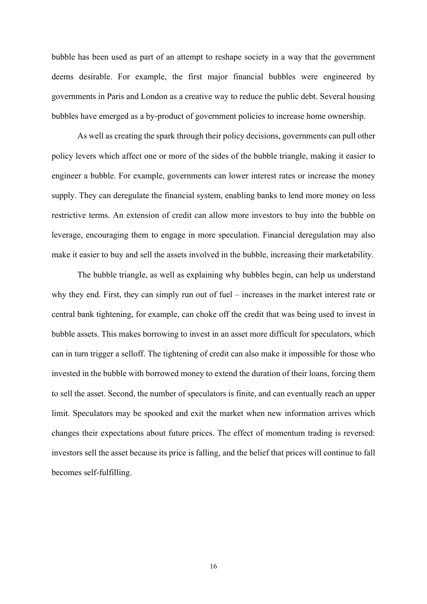bubble has been used as part of an attempt to reshape society in a way that the government deems desirable. For example, the first major financial bubbles were engineered by governments in Paris and London as a creative way to reduce the public debt. Several housing bubbles have emerged as a by-product of government policies to increase home ownership.

As well as creating the spark through their policy decisions, governments can pull other policy levers which affect one or more of the sides of the bubble triangle, making it easier to engineer a bubble. For example, governments can lower interest rates or increase the money supply. They can deregulate the financial system, enabling banks to lend more money on less restrictive terms. An extension of credit can allow more investors to buy into the bubble on leverage, encouraging them to engage in more speculation. Financial deregulation may also make it easier to buy and sell the assets involved in the bubble, increasing their marketability.

The bubble triangle, as well as explaining why bubbles begin, can help us understand why they end. First, they can simply run out of fuel – increases in the market interest rate or central bank tightening, for example, can choke off the credit that was being used to invest in bubble assets. This makes borrowing to invest in an asset more difficult for speculators, which can in turn trigger a selloff. The tightening of credit can also make it impossible for those who invested in the bubble with borrowed money to extend the duration of their loans, forcing them to sell the asset. Second, the number of speculators is finite, and can eventually reach an upper limit. Speculators may be spooked and exit the market when new information arrives which changes their expectations about future prices. The effect of momentum trading is reversed: investors sell the asset because its price is falling, and the belief that prices will continue to fall becomes self-fulfilling.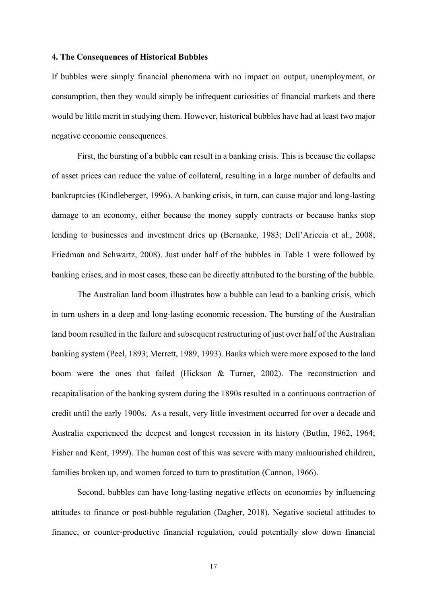#### **4. The Consequences of Historical Bubbles**

If bubbles were simply financial phenomena with no impact on output, unemployment, or consumption, then they would simply be infrequent curiosities of financial markets and there would be little merit in studying them. However, historical bubbles have had at least two major negative economic consequences.

 First, the bursting of a bubble can result in a banking crisis. This is because the collapse of asset prices can reduce the value of collateral, resulting in a large number of defaults and bankruptcies (Kindleberger, 1996). A banking crisis, in turn, can cause major and long-lasting damage to an economy, either because the money supply contracts or because banks stop lending to businesses and investment dries up (Bernanke, 1983; Dell'Ariccia et al., 2008; Friedman and Schwartz, 2008). Just under half of the bubbles in Table 1 were followed by banking crises, and in most cases, these can be directly attributed to the bursting of the bubble.

 The Australian land boom illustrates how a bubble can lead to a banking crisis, which in turn ushers in a deep and long-lasting economic recession. The bursting of the Australian land boom resulted in the failure and subsequent restructuring of just over half of the Australian banking system (Peel, 1893; Merrett, 1989, 1993). Banks which were more exposed to the land boom were the ones that failed (Hickson & Turner, 2002). The reconstruction and recapitalisation of the banking system during the 1890s resulted in a continuous contraction of credit until the early 1900s. As a result, very little investment occurred for over a decade and Australia experienced the deepest and longest recession in its history (Butlin, 1962, 1964; Fisher and Kent, 1999). The human cost of this was severe with many malnourished children, families broken up, and women forced to turn to prostitution (Cannon, 1966).

 Second, bubbles can have long-lasting negative effects on economies by influencing attitudes to finance or post-bubble regulation (Dagher, 2018). Negative societal attitudes to finance, or counter-productive financial regulation, could potentially slow down financial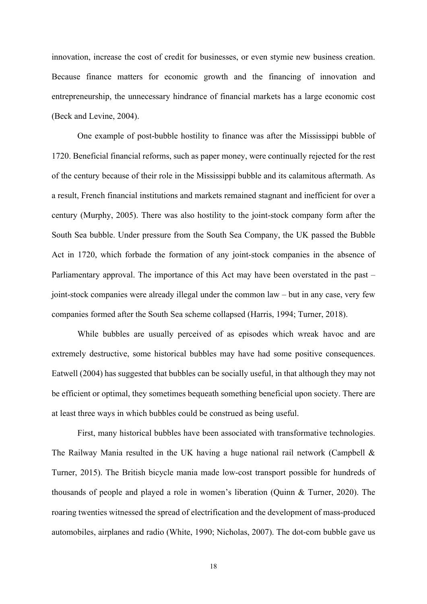innovation, increase the cost of credit for businesses, or even stymie new business creation. Because finance matters for economic growth and the financing of innovation and entrepreneurship, the unnecessary hindrance of financial markets has a large economic cost (Beck and Levine, 2004).

 One example of post-bubble hostility to finance was after the Mississippi bubble of 1720. Beneficial financial reforms, such as paper money, were continually rejected for the rest of the century because of their role in the Mississippi bubble and its calamitous aftermath. As a result, French financial institutions and markets remained stagnant and inefficient for over a century (Murphy, 2005). There was also hostility to the joint-stock company form after the South Sea bubble. Under pressure from the South Sea Company, the UK passed the Bubble Act in 1720, which forbade the formation of any joint-stock companies in the absence of Parliamentary approval. The importance of this Act may have been overstated in the past – joint-stock companies were already illegal under the common law – but in any case, very few companies formed after the South Sea scheme collapsed (Harris, 1994; Turner, 2018).

While bubbles are usually perceived of as episodes which wreak havoc and are extremely destructive, some historical bubbles may have had some positive consequences. Eatwell (2004) has suggested that bubbles can be socially useful, in that although they may not be efficient or optimal, they sometimes bequeath something beneficial upon society. There are at least three ways in which bubbles could be construed as being useful.

First, many historical bubbles have been associated with transformative technologies. The Railway Mania resulted in the UK having a huge national rail network (Campbell & Turner, 2015). The British bicycle mania made low-cost transport possible for hundreds of thousands of people and played a role in women's liberation (Quinn & Turner, 2020). The roaring twenties witnessed the spread of electrification and the development of mass-produced automobiles, airplanes and radio (White, 1990; Nicholas, 2007). The dot-com bubble gave us

18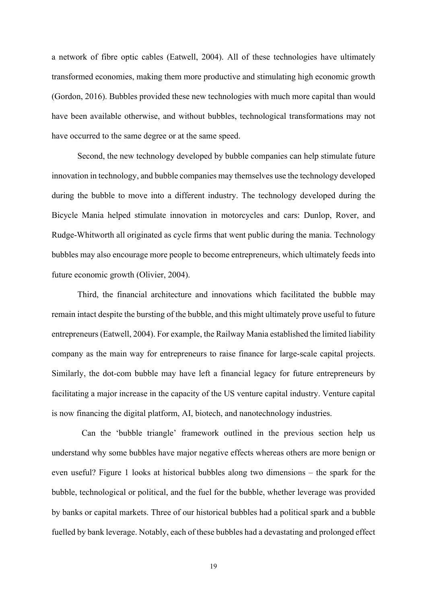a network of fibre optic cables (Eatwell, 2004). All of these technologies have ultimately transformed economies, making them more productive and stimulating high economic growth (Gordon, 2016). Bubbles provided these new technologies with much more capital than would have been available otherwise, and without bubbles, technological transformations may not have occurred to the same degree or at the same speed.

Second, the new technology developed by bubble companies can help stimulate future innovation in technology, and bubble companies may themselves use the technology developed during the bubble to move into a different industry. The technology developed during the Bicycle Mania helped stimulate innovation in motorcycles and cars: Dunlop, Rover, and Rudge-Whitworth all originated as cycle firms that went public during the mania. Technology bubbles may also encourage more people to become entrepreneurs, which ultimately feeds into future economic growth (Olivier, 2004).

Third, the financial architecture and innovations which facilitated the bubble may remain intact despite the bursting of the bubble, and this might ultimately prove useful to future entrepreneurs (Eatwell, 2004). For example, the Railway Mania established the limited liability company as the main way for entrepreneurs to raise finance for large-scale capital projects. Similarly, the dot-com bubble may have left a financial legacy for future entrepreneurs by facilitating a major increase in the capacity of the US venture capital industry. Venture capital is now financing the digital platform, AI, biotech, and nanotechnology industries.

 Can the 'bubble triangle' framework outlined in the previous section help us understand why some bubbles have major negative effects whereas others are more benign or even useful? Figure 1 looks at historical bubbles along two dimensions – the spark for the bubble, technological or political, and the fuel for the bubble, whether leverage was provided by banks or capital markets. Three of our historical bubbles had a political spark and a bubble fuelled by bank leverage. Notably, each of these bubbles had a devastating and prolonged effect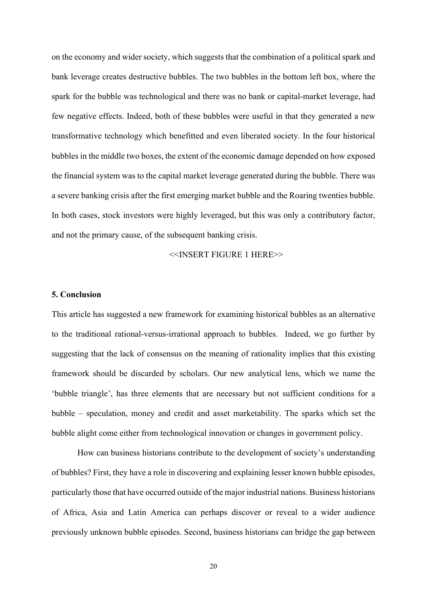on the economy and wider society, which suggests that the combination of a political spark and bank leverage creates destructive bubbles. The two bubbles in the bottom left box, where the spark for the bubble was technological and there was no bank or capital-market leverage, had few negative effects. Indeed, both of these bubbles were useful in that they generated a new transformative technology which benefitted and even liberated society. In the four historical bubbles in the middle two boxes, the extent of the economic damage depended on how exposed the financial system was to the capital market leverage generated during the bubble. There was a severe banking crisis after the first emerging market bubble and the Roaring twenties bubble. In both cases, stock investors were highly leveraged, but this was only a contributory factor, and not the primary cause, of the subsequent banking crisis.

#### <<INSERT FIGURE 1 HERE>>

#### **5. Conclusion**

This article has suggested a new framework for examining historical bubbles as an alternative to the traditional rational-versus-irrational approach to bubbles. Indeed, we go further by suggesting that the lack of consensus on the meaning of rationality implies that this existing framework should be discarded by scholars. Our new analytical lens, which we name the 'bubble triangle', has three elements that are necessary but not sufficient conditions for a bubble – speculation, money and credit and asset marketability. The sparks which set the bubble alight come either from technological innovation or changes in government policy.

 How can business historians contribute to the development of society's understanding of bubbles? First, they have a role in discovering and explaining lesser known bubble episodes, particularly those that have occurred outside of the major industrial nations. Business historians of Africa, Asia and Latin America can perhaps discover or reveal to a wider audience previously unknown bubble episodes. Second, business historians can bridge the gap between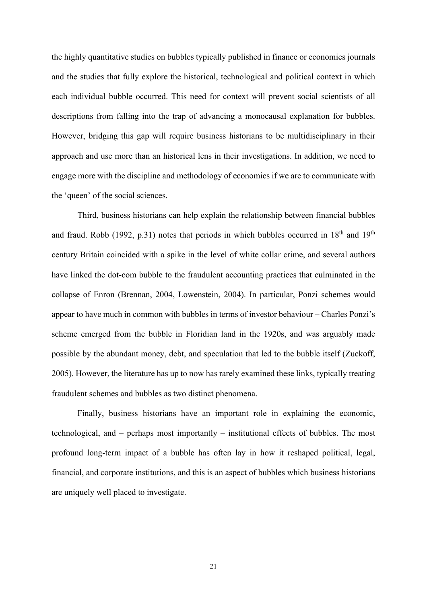the highly quantitative studies on bubbles typically published in finance or economics journals and the studies that fully explore the historical, technological and political context in which each individual bubble occurred. This need for context will prevent social scientists of all descriptions from falling into the trap of advancing a monocausal explanation for bubbles. However, bridging this gap will require business historians to be multidisciplinary in their approach and use more than an historical lens in their investigations. In addition, we need to engage more with the discipline and methodology of economics if we are to communicate with the 'queen' of the social sciences.

Third, business historians can help explain the relationship between financial bubbles and fraud. Robb (1992, p.31) notes that periods in which bubbles occurred in  $18<sup>th</sup>$  and  $19<sup>th</sup>$ century Britain coincided with a spike in the level of white collar crime, and several authors have linked the dot-com bubble to the fraudulent accounting practices that culminated in the collapse of Enron (Brennan, 2004, Lowenstein, 2004). In particular, Ponzi schemes would appear to have much in common with bubbles in terms of investor behaviour – Charles Ponzi's scheme emerged from the bubble in Floridian land in the 1920s, and was arguably made possible by the abundant money, debt, and speculation that led to the bubble itself (Zuckoff, 2005). However, the literature has up to now has rarely examined these links, typically treating fraudulent schemes and bubbles as two distinct phenomena.

Finally, business historians have an important role in explaining the economic, technological, and – perhaps most importantly – institutional effects of bubbles. The most profound long-term impact of a bubble has often lay in how it reshaped political, legal, financial, and corporate institutions, and this is an aspect of bubbles which business historians are uniquely well placed to investigate.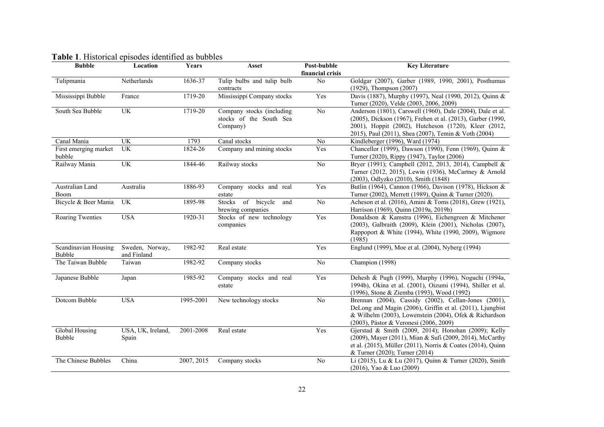| <b>Bubble</b>                   | Location                       | Years      | Asset                                                            | Post-bubble      | <b>Key Literature</b>                                                                                                                                                                                                                     |
|---------------------------------|--------------------------------|------------|------------------------------------------------------------------|------------------|-------------------------------------------------------------------------------------------------------------------------------------------------------------------------------------------------------------------------------------------|
|                                 |                                |            |                                                                  | financial crisis |                                                                                                                                                                                                                                           |
| Tulipmania                      | Netherlands                    | 1636-37    | Tulip bulbs and tulip bulb<br>contracts                          | No               | Goldgar (2007), Garber (1989, 1990, 2001), Posthumus<br>(1929), Thompson (2007)                                                                                                                                                           |
| Mississippi Bubble              | France                         | 1719-20    | Mississippi Company stocks                                       | Yes              | Davis (1887), Murphy (1997), Neal (1990, 2012), Quinn &<br>Turner (2020), Velde (2003, 2006, 2009)                                                                                                                                        |
| South Sea Bubble                | $\overline{UK}$                | 1719-20    | Company stocks (including<br>stocks of the South Sea<br>Company) | $\overline{No}$  | Anderson (1801), Carswell (1960), Dale (2004), Dale et al.<br>(2005), Dickson (1967), Frehen et al. (2013), Garber (1990,<br>2001), Hoppit (2002), Hutcheson (1720), Kleer (2012,<br>2015), Paul (2011), Shea (2007), Temin & Voth (2004) |
| Canal Mania                     | UK                             | 1793       | Canal stocks                                                     | $\rm No$         | Kindleberger (1996), Ward (1974)                                                                                                                                                                                                          |
| First emerging market<br>bubble | <b>UK</b>                      | 1824-26    | Company and mining stocks                                        | Yes              | Chancellor (1999), Dawson (1990), Fenn (1969), Quinn &<br>Turner (2020), Rippy (1947), Taylor (2006)                                                                                                                                      |
| Railway Mania                   | UK                             | 1844-46    | Railway stocks                                                   | $\rm No$         | Bryer (1991); Campbell (2012, 2013, 2014), Campbell &<br>Turner (2012, 2015), Lewin (1936), McCartney & Arnold<br>(2003), Odlyzko (2010), Smith (1848)                                                                                    |
| Australian Land<br>Boom         | Australia                      | 1886-93    | Company stocks and real<br>estate                                | Yes              | Butlin (1964), Cannon (1966), Davison (1978), Hickson &<br>Turner (2002), Merrett (1989), Quinn & Turner (2020).                                                                                                                          |
| Bicycle & Beer Mania            | UK                             | 1895-98    | Stocks of bicycle<br>and<br>brewing companies                    | $\rm No$         | Acheson et al. (2016), Amini & Toms (2018), Grew (1921),<br>Harrison (1969), Quinn (2019a, 2019b)                                                                                                                                         |
| Roaring Twenties                | <b>USA</b>                     | 1920-31    | Stocks of new technology<br>companies                            | Yes              | Donaldson & Kamstra (1996), Eichengreen & Mitchener<br>(2003), Galbraith (2009), Klein (2001), Nicholas (2007),<br>Rappoport & White (1994), White (1990, 2009), Wigmore<br>(1985)                                                        |
| Scandinavian Housing<br>Bubble  | Sweden, Norway,<br>and Finland | 1982-92    | Real estate                                                      | Yes              | Englund (1999), Moe et al. (2004), Nyberg (1994)                                                                                                                                                                                          |
| The Taiwan Bubble               | Taiwan                         | 1982-92    | Company stocks                                                   | $\rm No$         | Champion (1998)                                                                                                                                                                                                                           |
| Japanese Bubble                 | Japan                          | 1985-92    | Company stocks and real<br>estate                                | Yes              | Dehesh & Pugh (1999), Murphy (1996), Noguchi (1994a,<br>1994b), Okina et al. (2001), Oizumi (1994), Shiller et al.<br>(1996), Stone & Ziemba (1993), Wood (1992)                                                                          |
| Dotcom Bubble                   | <b>USA</b>                     | 1995-2001  | New technology stocks                                            | N <sub>o</sub>   | Brennan (2004), Cassidy (2002), Cellan-Jones (2001),<br>DeLong and Magin (2006), Griffin et al. (2011), Ljungbist<br>& Wilhelm (2003), Lowenstein (2004), Ofek & Richardson<br>(2003), Pástor & Veronesi (2006, 2009)                     |
| Global Housing<br>Bubble        | USA, UK, Ireland,<br>Spain     | 2001-2008  | Real estate                                                      | Yes              | Gjerstad & Smith (2009, 2014); Honohan (2009); Kelly<br>(2009), Mayer (2011), Mian & Sufi (2009, 2014), McCarthy<br>et al. (2015), Müller (2011), Norris & Coates (2014), Quinn<br>& Turner (2020); Turner (2014)                         |
| The Chinese Bubbles             | China                          | 2007, 2015 | Company stocks                                                   | No               | Li (2015), Lu & Lu (2017), Quinn & Turner (2020), Smith<br>(2016), Yao & Luo (2009)                                                                                                                                                       |

### **Table 1**. Historical episodes identified as bubbles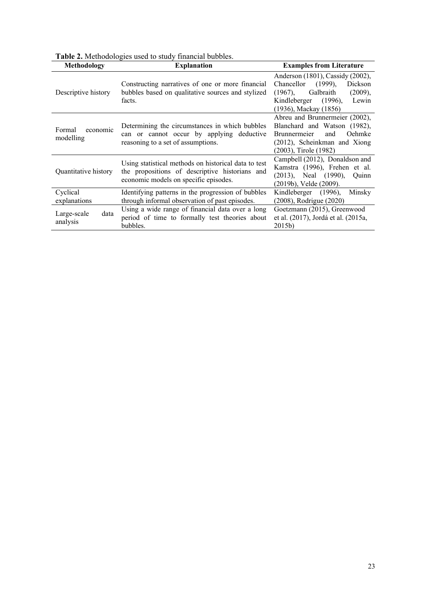| Methodology                     | <b>Explanation</b>                                                                                                                              | <b>Examples from Literature</b>                                                                                                                                   |  |
|---------------------------------|-------------------------------------------------------------------------------------------------------------------------------------------------|-------------------------------------------------------------------------------------------------------------------------------------------------------------------|--|
| Descriptive history             | Constructing narratives of one or more financial<br>bubbles based on qualitative sources and stylized<br>facts.                                 | Anderson (1801), Cassidy (2002),<br>Chancellor (1999),<br>Dickson<br>(1967),<br>Galbraith<br>(2009),<br>(1996),<br>Kindleberger<br>Lewin<br>(1936), Mackay (1856) |  |
| Formal<br>economic<br>modelling | Determining the circumstances in which bubbles<br>can or cannot occur by applying deductive<br>reasoning to a set of assumptions.               | Abreu and Brunnermeier (2002),<br>Blanchard and Watson (1982),<br>Oehmke<br><b>Brunnermeier</b><br>and<br>(2012), Scheinkman and Xiong<br>(2003), Tirole (1982)   |  |
| Quantitative history            | Using statistical methods on historical data to test<br>the propositions of descriptive historians and<br>economic models on specific episodes. | Campbell (2012), Donaldson and<br>Kamstra (1996), Frehen et al.<br>$(2013)$ , Neal $(1990)$ ,<br>Quinn<br>(2019b), Velde (2009).                                  |  |
| Cyclical<br>explanations        | Identifying patterns in the progression of bubbles<br>through informal observation of past episodes.                                            | Kindleberger (1996),<br>Minsky<br>(2008), Rodrigue (2020)                                                                                                         |  |
| Large-scale<br>data<br>analysis | Using a wide range of financial data over a long<br>period of time to formally test theories about<br>bubbles.                                  | Goetzmann (2015), Greenwood<br>et al. (2017), Jordá et al. (2015a,<br>2015 <sub>b</sub>                                                                           |  |

**Table 2.** Methodologies used to study financial bubbles.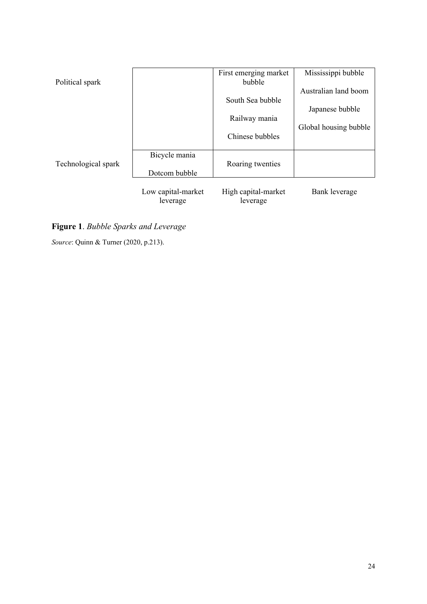| Political spark     |                                | First emerging market<br>bubble | Mississippi bubble    |
|---------------------|--------------------------------|---------------------------------|-----------------------|
|                     |                                |                                 | Australian land boom  |
|                     |                                | South Sea bubble                |                       |
|                     |                                |                                 | Japanese bubble       |
|                     |                                | Railway mania                   |                       |
|                     |                                | Chinese bubbles                 | Global housing bubble |
|                     | Bicycle mania                  |                                 |                       |
| Technological spark | Dotcom bubble                  | Roaring twenties                |                       |
|                     | Low capital-market<br>leverage | High capital-market<br>leverage | Bank leverage         |

**Figure 1**. *Bubble Sparks and Leverage*

*Source*: Quinn & Turner (2020, p.213).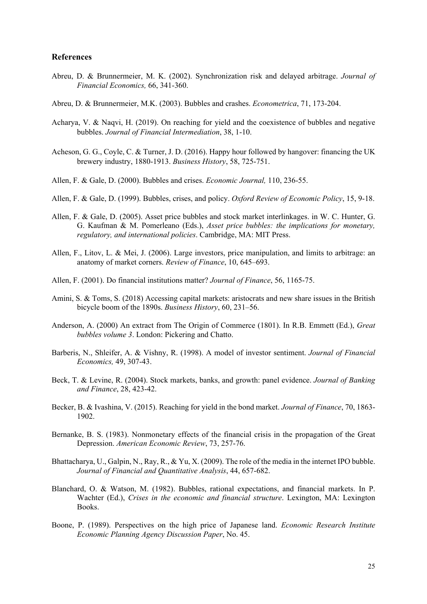#### **References**

- Abreu, D. & Brunnermeier, M. K. (2002). Synchronization risk and delayed arbitrage. *Journal of Financial Economics,* 66, 341-360.
- Abreu, D. & Brunnermeier, M.K. (2003). Bubbles and crashes. *Econometrica*, 71, 173-204.
- Acharya, V. & Naqvi, H. (2019). On reaching for yield and the coexistence of bubbles and negative bubbles. *Journal of Financial Intermediation*, 38, 1-10.
- Acheson, G. G., Coyle, C. & Turner, J. D. (2016). Happy hour followed by hangover: financing the UK brewery industry, 1880-1913. *Business History*, 58, 725-751.
- Allen, F. & Gale, D. (2000). Bubbles and crises. *Economic Journal,* 110, 236-55.
- Allen, F. & Gale, D. (1999). Bubbles, crises, and policy. *Oxford Review of Economic Policy*, 15, 9-18.
- Allen, F. & Gale, D. (2005). Asset price bubbles and stock market interlinkages. in W. C. Hunter, G. G. Kaufman & M. Pomerleano (Eds.), *Asset price bubbles: the implications for monetary, regulatory, and international policies*. Cambridge, MA: MIT Press.
- Allen, F., Litov, L. & Mei, J. (2006). Large investors, price manipulation, and limits to arbitrage: an anatomy of market corners. *Review of Finance*, 10, 645–693.
- Allen, F. (2001). Do financial institutions matter? *Journal of Finance*, 56, 1165-75.
- Amini, S. & Toms, S. (2018) Accessing capital markets: aristocrats and new share issues in the British bicycle boom of the 1890s. *Business History*, 60, 231–56.
- Anderson, A. (2000) An extract from The Origin of Commerce (1801). In R.B. Emmett (Ed.), *Great bubbles volume 3*. London: Pickering and Chatto.
- Barberis, N., Shleifer, A. & Vishny, R. (1998). A model of investor sentiment. *Journal of Financial Economics,* 49, 307-43.
- Beck, T. & Levine, R. (2004). Stock markets, banks, and growth: panel evidence. *Journal of Banking and Finance*, 28, 423-42.
- Becker, B. & Ivashina, V. (2015). Reaching for yield in the bond market. *Journal of Finance*, 70, 1863- 1902.
- Bernanke, B. S. (1983). Nonmonetary effects of the financial crisis in the propagation of the Great Depression. *American Economic Review*, 73, 257-76.
- Bhattacharya, U., Galpin, N., Ray, R., & Yu, X. (2009). The role of the media in the internet IPO bubble. *Journal of Financial and Quantitative Analysis*, 44, 657-682.
- Blanchard, O. & Watson, M. (1982). Bubbles, rational expectations, and financial markets. In P. Wachter (Ed.), *Crises in the economic and financial structure*. Lexington, MA: Lexington Books.
- Boone, P. (1989). Perspectives on the high price of Japanese land. *Economic Research Institute Economic Planning Agency Discussion Paper*, No. 45.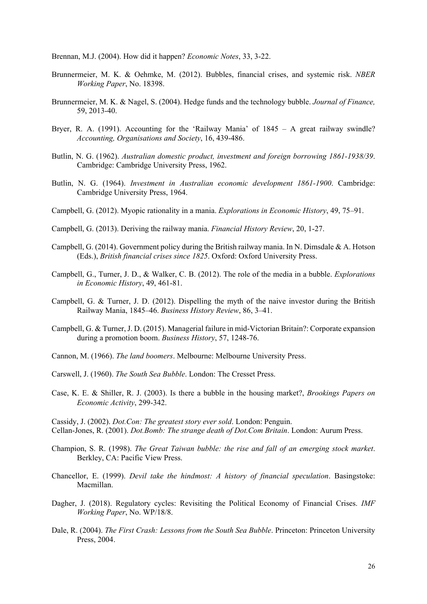Brennan, M.J. (2004). How did it happen? *Economic Notes*, 33, 3-22.

- Brunnermeier, M. K. & Oehmke, M. (2012). Bubbles, financial crises, and systemic risk. *NBER Working Paper*, No. 18398.
- Brunnermeier, M. K. & Nagel, S. (2004). Hedge funds and the technology bubble. *Journal of Finance,*  59, 2013-40.
- Bryer, R. A. (1991). Accounting for the 'Railway Mania' of 1845 A great railway swindle? *Accounting, Organisations and Society*, 16, 439-486.
- Butlin, N. G. (1962). *Australian domestic product, investment and foreign borrowing 1861-1938/39*. Cambridge: Cambridge University Press, 1962.
- Butlin, N. G. (1964). *Investment in Australian economic development 1861-1900*. Cambridge: Cambridge University Press, 1964.
- Campbell, G. (2012). Myopic rationality in a mania. *Explorations in Economic History*, 49, 75–91.
- Campbell, G. (2013). Deriving the railway mania. *Financial History Review*, 20, 1-27.
- Campbell, G. (2014). Government policy during the British railway mania. In N. Dimsdale & A. Hotson (Eds.), *British financial crises since 1825*. Oxford: Oxford University Press.
- Campbell, G., Turner, J. D., & Walker, C. B. (2012). The role of the media in a bubble. *Explorations in Economic History*, 49, 461-81.
- Campbell, G. & Turner, J. D. (2012). Dispelling the myth of the naive investor during the British Railway Mania, 1845–46. *Business History Review*, 86, 3–41.
- Campbell, G. & Turner, J. D. (2015). Managerial failure in mid-Victorian Britain?: Corporate expansion during a promotion boom. *Business History*, 57, 1248-76.
- Cannon, M. (1966). *The land boomers*. Melbourne: Melbourne University Press.
- Carswell, J. (1960). *The South Sea Bubble*. London: The Cresset Press.
- Case, K. E. & Shiller, R. J. (2003). Is there a bubble in the housing market?, *Brookings Papers on Economic Activity*, 299-342.

Cassidy, J. (2002). *Dot.Con: The greatest story ever sold*. London: Penguin. Cellan-Jones, R. (2001). *Dot.Bomb: The strange death of Dot.Com Britain*. London: Aurum Press.

- Champion, S. R. (1998). *The Great Taiwan bubble: the rise and fall of an emerging stock market*. Berkley, CA: Pacific View Press.
- Chancellor, E. (1999). *Devil take the hindmost: A history of financial speculation*. Basingstoke: Macmillan.
- Dagher, J. (2018). Regulatory cycles: Revisiting the Political Economy of Financial Crises. *IMF Working Paper*, No. WP/18/8.
- Dale, R. (2004). *The First Crash: Lessons from the South Sea Bubble*. Princeton: Princeton University Press, 2004.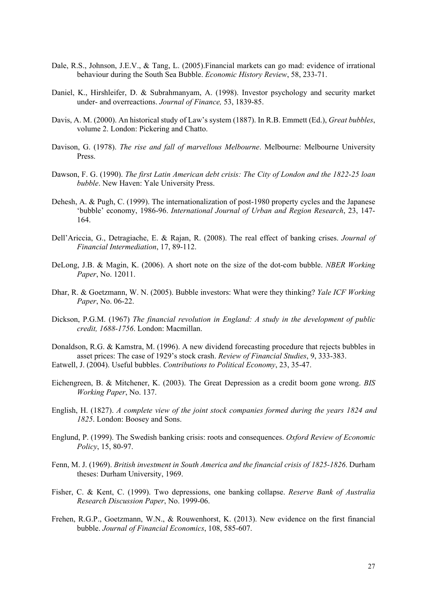- Dale, R.S., Johnson, J.E.V., & Tang, L. (2005).Financial markets can go mad: evidence of irrational behaviour during the South Sea Bubble. *Economic History Review*, 58, 233-71.
- Daniel, K., Hirshleifer, D. & Subrahmanyam, A. (1998). Investor psychology and security market under- and overreactions. *Journal of Finance,* 53, 1839-85.
- Davis, A. M. (2000). An historical study of Law's system (1887). In R.B. Emmett (Ed.), *Great bubbles*, volume 2. London: Pickering and Chatto.
- Davison, G. (1978). *The rise and fall of marvellous Melbourne*. Melbourne: Melbourne University Press.
- Dawson, F. G. (1990). *The first Latin American debt crisis: The City of London and the 1822-25 loan bubble*. New Haven: Yale University Press.
- Dehesh, A. & Pugh, C. (1999). The internationalization of post-1980 property cycles and the Japanese 'bubble' economy, 1986-96. *International Journal of Urban and Region Research*, 23, 147- 164.
- Dell'Ariccia, G., Detragiache, E. & Rajan, R. (2008). The real effect of banking crises. *Journal of Financial Intermediation*, 17, 89-112.
- DeLong, J.B. & Magin, K. (2006). A short note on the size of the dot-com bubble. *NBER Working Paper*, No. 12011.
- Dhar, R. & Goetzmann, W. N. (2005). Bubble investors: What were they thinking? *Yale ICF Working Paper*, No. 06-22.
- Dickson, P.G.M. (1967) *The financial revolution in England: A study in the development of public credit, 1688-1756*. London: Macmillan.
- Donaldson, R.G. & Kamstra, M. (1996). A new dividend forecasting procedure that rejects bubbles in asset prices: The case of 1929's stock crash. *Review of Financial Studies*, 9, 333-383.
- Eatwell, J. (2004). Useful bubbles. *Contributions to Political Economy*, 23, 35-47.
- Eichengreen, B. & Mitchener, K. (2003). The Great Depression as a credit boom gone wrong. *BIS Working Paper*, No. 137.
- English, H. (1827). *A complete view of the joint stock companies formed during the years 1824 and 1825*. London: Boosey and Sons.
- Englund, P. (1999). The Swedish banking crisis: roots and consequences. *Oxford Review of Economic Policy*, 15, 80-97.
- Fenn, M. J. (1969). *British investment in South America and the financial crisis of 1825-1826*. Durham theses: Durham University, 1969.
- Fisher, C. & Kent, C. (1999). Two depressions, one banking collapse. *Reserve Bank of Australia Research Discussion Paper*, No. 1999-06.
- Frehen, R.G.P., Goetzmann, W.N., & Rouwenhorst, K. (2013). New evidence on the first financial bubble. *Journal of Financial Economics*, 108, 585-607.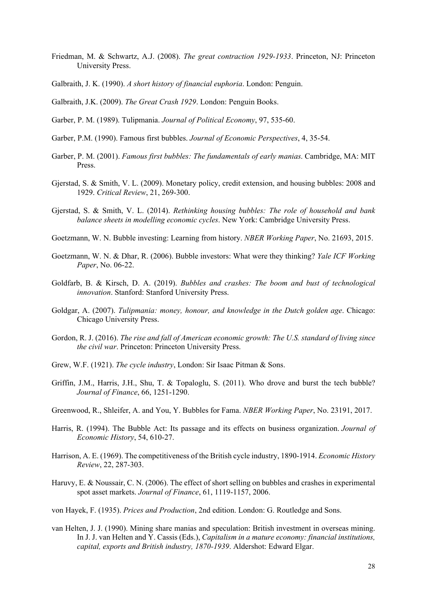- Friedman, M. & Schwartz, A.J. (2008). *The great contraction 1929-1933*. Princeton, NJ: Princeton University Press.
- Galbraith, J. K. (1990). *A short history of financial euphoria*. London: Penguin.
- Galbraith, J.K. (2009). *The Great Crash 1929*. London: Penguin Books.
- Garber, P. M. (1989). Tulipmania. *Journal of Political Economy*, 97, 535-60.
- Garber, P.M. (1990). Famous first bubbles. *Journal of Economic Perspectives*, 4, 35-54.
- Garber, P. M. (2001). *Famous first bubbles: The fundamentals of early manias*. Cambridge, MA: MIT Press.
- Gjerstad, S. & Smith, V. L. (2009). Monetary policy, credit extension, and housing bubbles: 2008 and 1929. *Critical Review*, 21, 269-300.
- Gjerstad, S. & Smith, V. L. (2014). *Rethinking housing bubbles: The role of household and bank balance sheets in modelling economic cycles*. New York: Cambridge University Press.
- Goetzmann, W. N. Bubble investing: Learning from history. *NBER Working Paper*, No. 21693, 2015.
- Goetzmann, W. N. & Dhar, R. (2006). Bubble investors: What were they thinking? *Yale ICF Working Paper*, No. 06-22.
- Goldfarb, B. & Kirsch, D. A. (2019). *Bubbles and crashes: The boom and bust of technological innovation*. Stanford: Stanford University Press.
- Goldgar, A. (2007). *Tulipmania: money, honour, and knowledge in the Dutch golden age*. Chicago: Chicago University Press.
- Gordon, R. J. (2016). *The rise and fall of American economic growth: The U.S. standard of living since the civil war*. Princeton: Princeton University Press.
- Grew, W.F. (1921). *The cycle industry*, London: Sir Isaac Pitman & Sons.
- Griffin, J.M., Harris, J.H., Shu, T. & Topaloglu, S. (2011). Who drove and burst the tech bubble? *Journal of Finance*, 66, 1251-1290.
- Greenwood, R., Shleifer, A. and You, Y. Bubbles for Fama. *NBER Working Paper*, No. 23191, 2017.
- Harris, R. (1994). The Bubble Act: Its passage and its effects on business organization. *Journal of Economic History*, 54, 610-27.
- Harrison, A. E. (1969). The competitiveness of the British cycle industry, 1890-1914. *Economic History Review*, 22, 287-303.
- Haruvy, E. & Noussair, C. N. (2006). The effect of short selling on bubbles and crashes in experimental spot asset markets. *Journal of Finance*, 61, 1119-1157, 2006.
- von Hayek, F. (1935). *Prices and Production*, 2nd edition. London: G. Routledge and Sons.
- van Helten, J. J. (1990). Mining share manias and speculation: British investment in overseas mining. In J. J. van Helten and Y. Cassis (Eds.), *Capitalism in a mature economy: financial institutions, capital, exports and British industry, 1870-1939*. Aldershot: Edward Elgar.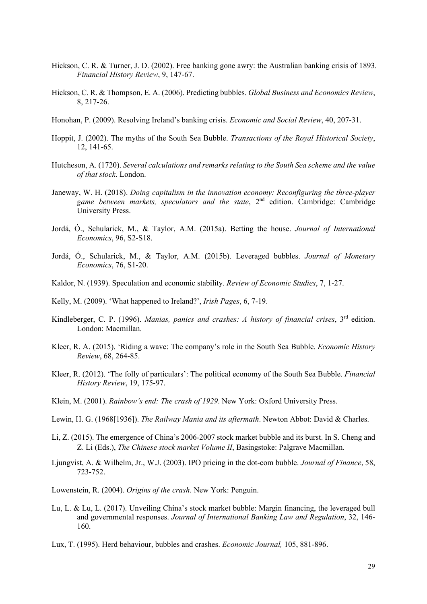- Hickson, C. R. & Turner, J. D. (2002). Free banking gone awry: the Australian banking crisis of 1893. *Financial History Review*, 9, 147-67.
- Hickson, C. R. & Thompson, E. A. (2006). Predicting bubbles. *Global Business and Economics Review*, 8, 217-26.
- Honohan, P. (2009). Resolving Ireland's banking crisis. *Economic and Social Review*, 40, 207-31.
- Hoppit, J. (2002). The myths of the South Sea Bubble. *Transactions of the Royal Historical Society*, 12, 141-65.
- Hutcheson, A. (1720). *Several calculations and remarks relating to the South Sea scheme and the value of that stock*. London.
- Janeway, W. H. (2018). *Doing capitalism in the innovation economy: Reconfiguring the three-player*  game between markets, speculators and the state, 2<sup>nd</sup> edition. Cambridge: Cambridge University Press.
- Jordá, Ó., Schularick, M., & Taylor, A.M. (2015a). Betting the house. *Journal of International Economics*, 96, S2-S18.
- Jordá, Ó., Schularick, M., & Taylor, A.M. (2015b). Leveraged bubbles. *Journal of Monetary Economics*, 76, S1-20.
- Kaldor, N. (1939). Speculation and economic stability. *Review of Economic Studies*, 7, 1-27.
- Kelly, M. (2009). 'What happened to Ireland?', *Irish Pages*, 6, 7-19.
- Kindleberger, C. P. (1996). *Manias, panics and crashes: A history of financial crises*, 3rd edition. London: Macmillan.
- Kleer, R. A. (2015). 'Riding a wave: The company's role in the South Sea Bubble. *Economic History Review*, 68, 264-85.
- Kleer, R. (2012). 'The folly of particulars': The political economy of the South Sea Bubble. *Financial History Review*, 19, 175-97.
- Klein, M. (2001). *Rainbow's end: The crash of 1929*. New York: Oxford University Press.
- Lewin, H. G. (1968[1936]). *The Railway Mania and its aftermath*. Newton Abbot: David & Charles.
- Li, Z. (2015). The emergence of China's 2006-2007 stock market bubble and its burst. In S. Cheng and Z. Li (Eds.), *The Chinese stock market Volume II*, Basingstoke: Palgrave Macmillan.
- Ljungvist, A. & Wilhelm, Jr., W.J. (2003). IPO pricing in the dot-com bubble. *Journal of Finance*, 58, 723-752.
- Lowenstein, R. (2004). *Origins of the crash*. New York: Penguin.
- Lu, L. & Lu, L. (2017). Unveiling China's stock market bubble: Margin financing, the leveraged bull and governmental responses. *Journal of International Banking Law and Regulation*, 32, 146- 160.
- Lux, T. (1995). Herd behaviour, bubbles and crashes. *Economic Journal,* 105, 881-896.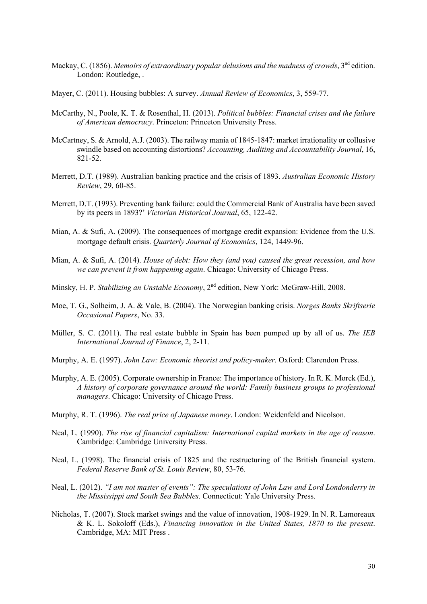- Mackay, C. (1856). *Memoirs of extraordinary popular delusions and the madness of crowds*, 3<sup>nd</sup> edition. London: Routledge, .
- Mayer, C. (2011). Housing bubbles: A survey. *Annual Review of Economics*, 3, 559-77.
- McCarthy, N., Poole, K. T. & Rosenthal, H. (2013). *Political bubbles: Financial crises and the failure of American democracy*. Princeton: Princeton University Press.
- McCartney, S. & Arnold, A.J. (2003). The railway mania of 1845-1847: market irrationality or collusive swindle based on accounting distortions? *Accounting, Auditing and Accountability Journal*, 16, 821-52.
- Merrett, D.T. (1989). Australian banking practice and the crisis of 1893. *Australian Economic History Review*, 29, 60-85.
- Merrett, D.T. (1993). Preventing bank failure: could the Commercial Bank of Australia have been saved by its peers in 1893?' *Victorian Historical Journal*, 65, 122-42.
- Mian, A. & Sufi, A. (2009). The consequences of mortgage credit expansion: Evidence from the U.S. mortgage default crisis. *Quarterly Journal of Economics*, 124, 1449-96.
- Mian, A. & Sufi, A. (2014). *House of debt: How they (and you) caused the great recession, and how we can prevent it from happening again*. Chicago: University of Chicago Press.
- Minsky, H. P. *Stabilizing an Unstable Economy*, 2nd edition, New York: McGraw-Hill, 2008.
- Moe, T. G., Solheim, J. A. & Vale, B. (2004). The Norwegian banking crisis. *Norges Banks Skriftserie Occasional Papers*, No. 33.
- Müller, S. C. (2011). The real estate bubble in Spain has been pumped up by all of us. *The IEB International Journal of Finance*, 2, 2-11.
- Murphy, A. E. (1997). *John Law: Economic theorist and policy-maker*. Oxford: Clarendon Press.
- Murphy, A. E. (2005). Corporate ownership in France: The importance of history. In R. K. Morck (Ed.), *A history of corporate governance around the world: Family business groups to professional managers*. Chicago: University of Chicago Press.
- Murphy, R. T. (1996). *The real price of Japanese money*. London: Weidenfeld and Nicolson.
- Neal, L. (1990). *The rise of financial capitalism: International capital markets in the age of reason*. Cambridge: Cambridge University Press.
- Neal, L. (1998). The financial crisis of 1825 and the restructuring of the British financial system. *Federal Reserve Bank of St. Louis Review*, 80, 53-76.
- Neal, L. (2012). *"I am not master of events": The speculations of John Law and Lord Londonderry in the Mississippi and South Sea Bubbles*. Connecticut: Yale University Press.
- Nicholas, T. (2007). Stock market swings and the value of innovation, 1908-1929. In N. R. Lamoreaux & K. L. Sokoloff (Eds.), *Financing innovation in the United States, 1870 to the present*. Cambridge, MA: MIT Press .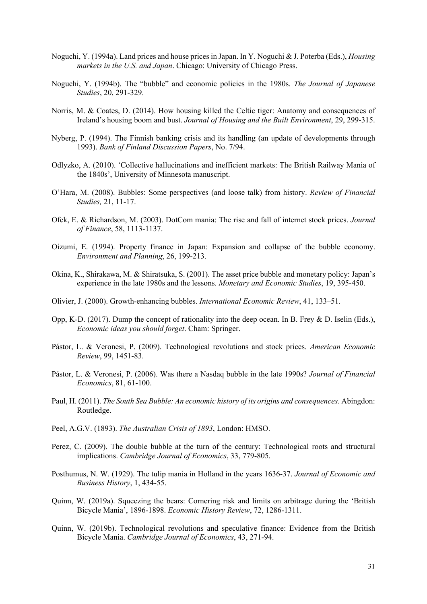- Noguchi, Y. (1994a). Land prices and house prices in Japan. In Y. Noguchi & J. Poterba (Eds.), *Housing markets in the U.S. and Japan*. Chicago: University of Chicago Press.
- Noguchi, Y. (1994b). The "bubble" and economic policies in the 1980s. *The Journal of Japanese Studies*, 20, 291-329.
- Norris, M. & Coates, D. (2014). How housing killed the Celtic tiger: Anatomy and consequences of Ireland's housing boom and bust. *Journal of Housing and the Built Environment*, 29, 299-315.
- Nyberg, P. (1994). The Finnish banking crisis and its handling (an update of developments through 1993). *Bank of Finland Discussion Papers*, No. 7/94.
- Odlyzko, A. (2010). 'Collective hallucinations and inefficient markets: The British Railway Mania of the 1840s', University of Minnesota manuscript.
- O'Hara, M. (2008). Bubbles: Some perspectives (and loose talk) from history. *Review of Financial Studies,* 21, 11-17.
- Ofek, E. & Richardson, M. (2003). DotCom mania: The rise and fall of internet stock prices. *Journal of Finance*, 58, 1113-1137.
- Oizumi, E. (1994). Property finance in Japan: Expansion and collapse of the bubble economy. *Environment and Planning*, 26, 199-213.
- Okina, K., Shirakawa, M. & Shiratsuka, S. (2001). The asset price bubble and monetary policy: Japan's experience in the late 1980s and the lessons. *Monetary and Economic Studies*, 19, 395-450.
- Olivier, J. (2000). Growth-enhancing bubbles. *International Economic Review*, 41, 133–51.
- Opp, K-D. (2017). Dump the concept of rationality into the deep ocean. In B. Frey & D. Iselin (Eds.), *Economic ideas you should forget*. Cham: Springer.
- Pástor, L. & Veronesi, P. (2009). Technological revolutions and stock prices. *American Economic Review*, 99, 1451-83.
- Pástor, L. & Veronesi, P. (2006). Was there a Nasdaq bubble in the late 1990s? *Journal of Financial Economics*, 81, 61-100.
- Paul, H. (2011). *The South Sea Bubble: An economic history of its origins and consequences*. Abingdon: Routledge.
- Peel, A.G.V. (1893). *The Australian Crisis of 1893*, London: HMSO.
- Perez, C. (2009). The double bubble at the turn of the century: Technological roots and structural implications. *Cambridge Journal of Economics*, 33, 779-805.
- Posthumus, N. W. (1929). The tulip mania in Holland in the years 1636-37. *Journal of Economic and Business History*, 1, 434-55.
- Quinn, W. (2019a). Squeezing the bears: Cornering risk and limits on arbitrage during the 'British Bicycle Mania', 1896-1898. *Economic History Review*, 72, 1286-1311.
- Quinn, W. (2019b). Technological revolutions and speculative finance: Evidence from the British Bicycle Mania. *Cambridge Journal of Economics*, 43, 271-94.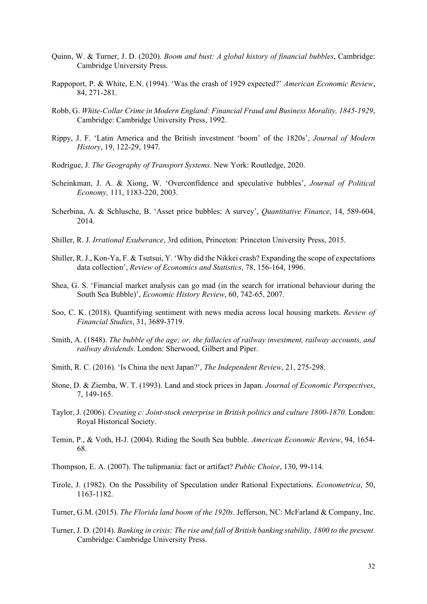- Quinn, W. & Turner, J. D. (2020). *Boom and bust: A global history of financial bubbles*, Cambridge: Cambridge University Press.
- Rappoport, P. & White, E.N. (1994). 'Was the crash of 1929 expected?' *American Economic Review*, 84, 271-281.
- Robb, G. *White-Collar Crime in Modern England: Financial Fraud and Business Morality, 1845-1929*, Cambridge: Cambridge University Press, 1992.
- Rippy, J. F. 'Latin America and the British investment 'boom' of the 1820s', *Journal of Modern History*, 19, 122-29, 1947.
- Rodrigue, J. *The Geography of Transport Systems*. New York: Routledge, 2020.
- Scheinkman, J. A. & Xiong, W. 'Overconfidence and speculative bubbles', *Journal of Political Economy,* 111, 1183-220, 2003.
- Scherbina, A. & Schlusche, B. 'Asset price bubbles: A survey', *Quantitative Finance*, 14, 589-604, 2014.
- Shiller, R. J. *Irrational Exuberance*, 3rd edition, Princeton: Princeton University Press, 2015.
- Shiller, R. J., Kon-Ya, F. & Tsutsui, Y. 'Why did the Nikkei crash? Expanding the scope of expectations data collection', *Review of Economics and Statistics*, 78, 156-164, 1996.
- Shea, G. S. 'Financial market analysis can go mad (in the search for irrational behaviour during the South Sea Bubble)', *Economic History Review*, 60, 742-65, 2007.
- Soo, C. K. (2018). Quantifying sentiment with news media across local housing markets. *Review of Financial Studies*, 31, 3689-3719.
- Smith, A. (1848). *The bubble of the age; or, the fallacies of railway investment, railway accounts, and railway dividends*. London: Sherwood, Gilbert and Piper.
- Smith, R. C. (2016). 'Is China the next Japan?', *The Independent Review*, 21, 275-298.
- Stone, D. & Ziemba, W. T. (1993). Land and stock prices in Japan. *Journal of Economic Perspectives*, 7, 149-165.
- Taylor, J. (2006). *Creating c: Joint-stock enterprise in British politics and culture 1800-1870*. London: Royal Historical Society.
- Temin, P., & Voth, H-J. (2004). Riding the South Sea bubble. *American Economic Review*, 94, 1654- 68.

Thompson, E. A. (2007). The tulipmania: fact or artifact? *Public Choice*, 130, 99-114.

- Tirole, J. (1982). On the Possibility of Speculation under Rational Expectations. *Econometrica*, 50, 1163-1182.
- Turner, G.M. (2015). *The Florida land boom of the 1920s*. Jefferson, NC: McFarland & Company, Inc.
- Turner, J. D. (2014). *Banking in crisis: The rise and fall of British banking stability, 1800 to the present*. Cambridge: Cambridge University Press.